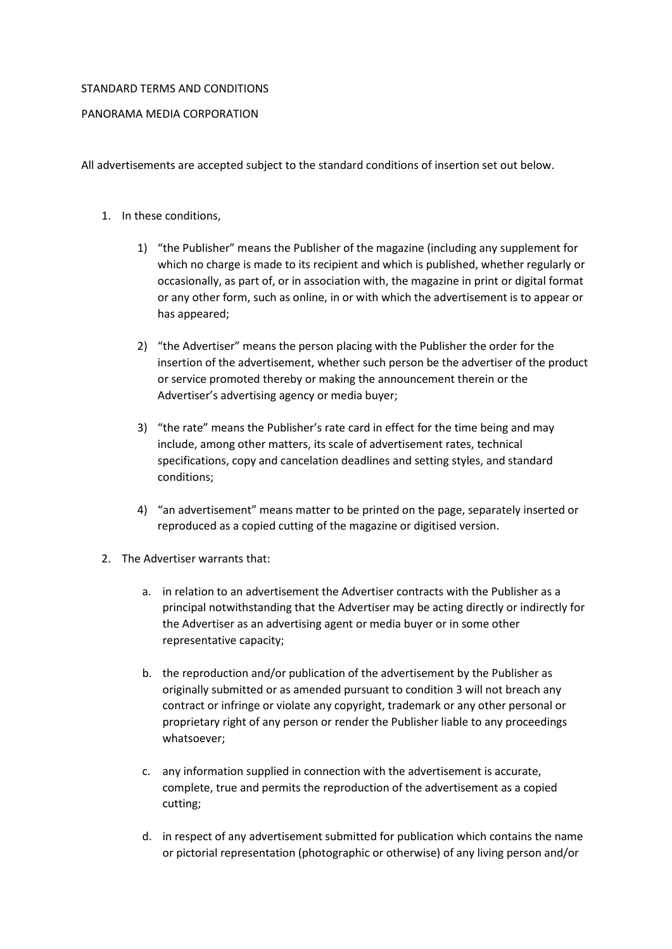## STANDARD TERMS AND CONDITIONS

## PANORAMA MEDIA CORPORATION

All advertisements are accepted subject to the standard conditions of insertion set out below.

## 1. In these conditions,

- 1) "the Publisher" means the Publisher of the magazine (including any supplement for which no charge is made to its recipient and which is published, whether regularly or occasionally, as part of, or in association with, the magazine in print or digital format or any other form, such as online, in or with which the advertisement is to appear or has appeared;
- 2) "the Advertiser" means the person placing with the Publisher the order for the insertion of the advertisement, whether such person be the advertiser of the product or service promoted thereby or making the announcement therein or the Advertiser's advertising agency or media buyer;
- 3) "the rate" means the Publisher's rate card in effect for the time being and may include, among other matters, its scale of advertisement rates, technical specifications, copy and cancelation deadlines and setting styles, and standard conditions;
- 4) "an advertisement" means matter to be printed on the page, separately inserted or reproduced as a copied cutting of the magazine or digitised version.
- 2. The Advertiser warrants that:
	- a. in relation to an advertisement the Advertiser contracts with the Publisher as a principal notwithstanding that the Advertiser may be acting directly or indirectly for the Advertiser as an advertising agent or media buyer or in some other representative capacity;
	- b. the reproduction and/or publication of the advertisement by the Publisher as originally submitted or as amended pursuant to condition 3 will not breach any contract or infringe or violate any copyright, trademark or any other personal or proprietary right of any person or render the Publisher liable to any proceedings whatsoever;
	- c. any information supplied in connection with the advertisement is accurate, complete, true and permits the reproduction of the advertisement as a copied cutting;
	- d. in respect of any advertisement submitted for publication which contains the name or pictorial representation (photographic or otherwise) of any living person and/or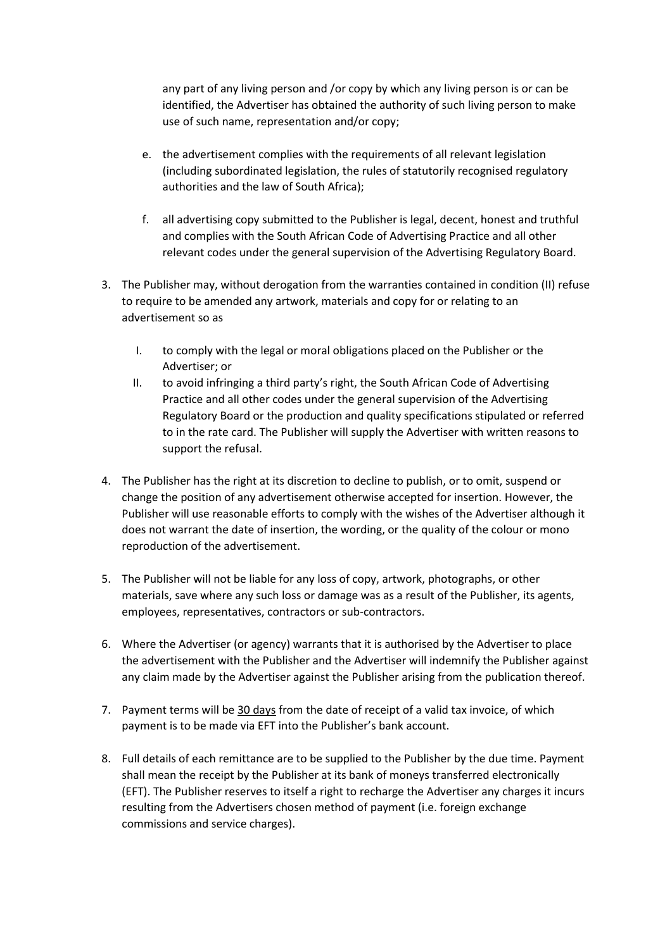any part of any living person and /or copy by which any living person is or can be identified, the Advertiser has obtained the authority of such living person to make use of such name, representation and/or copy;

- e. the advertisement complies with the requirements of all relevant legislation (including subordinated legislation, the rules of statutorily recognised regulatory authorities and the law of South Africa);
- f. all advertising copy submitted to the Publisher is legal, decent, honest and truthful and complies with the South African Code of Advertising Practice and all other relevant codes under the general supervision of the Advertising Regulatory Board.
- 3. The Publisher may, without derogation from the warranties contained in condition (II) refuse to require to be amended any artwork, materials and copy for or relating to an advertisement so as
	- I. to comply with the legal or moral obligations placed on the Publisher or the Advertiser; or
	- II. to avoid infringing a third party's right, the South African Code of Advertising Practice and all other codes under the general supervision of the Advertising Regulatory Board or the production and quality specifications stipulated or referred to in the rate card. The Publisher will supply the Advertiser with written reasons to support the refusal.
- 4. The Publisher has the right at its discretion to decline to publish, or to omit, suspend or change the position of any advertisement otherwise accepted for insertion. However, the Publisher will use reasonable efforts to comply with the wishes of the Advertiser although it does not warrant the date of insertion, the wording, or the quality of the colour or mono reproduction of the advertisement.
- 5. The Publisher will not be liable for any loss of copy, artwork, photographs, or other materials, save where any such loss or damage was as a result of the Publisher, its agents, employees, representatives, contractors or sub-contractors.
- 6. Where the Advertiser (or agency) warrants that it is authorised by the Advertiser to place the advertisement with the Publisher and the Advertiser will indemnify the Publisher against any claim made by the Advertiser against the Publisher arising from the publication thereof.
- 7. Payment terms will be 30 days from the date of receipt of a valid tax invoice, of which payment is to be made via EFT into the Publisher's bank account.
- 8. Full details of each remittance are to be supplied to the Publisher by the due time. Payment shall mean the receipt by the Publisher at its bank of moneys transferred electronically (EFT). The Publisher reserves to itself a right to recharge the Advertiser any charges it incurs resulting from the Advertisers chosen method of payment (i.e. foreign exchange commissions and service charges).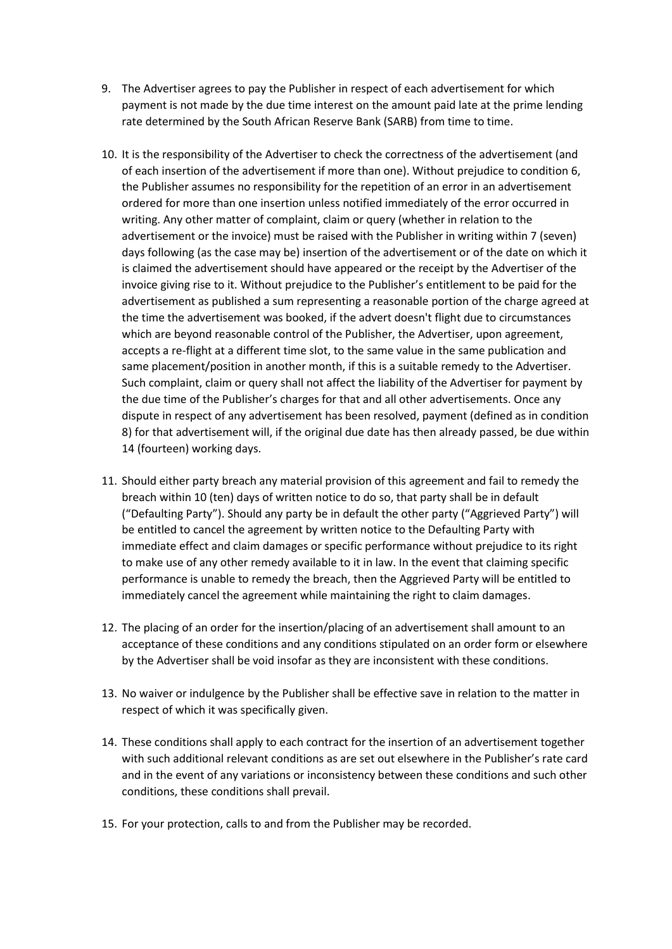- 9. The Advertiser agrees to pay the Publisher in respect of each advertisement for which payment is not made by the due time interest on the amount paid late at the prime lending rate determined by the South African Reserve Bank (SARB) from time to time.
- 10. It is the responsibility of the Advertiser to check the correctness of the advertisement (and of each insertion of the advertisement if more than one). Without prejudice to condition 6, the Publisher assumes no responsibility for the repetition of an error in an advertisement ordered for more than one insertion unless notified immediately of the error occurred in writing. Any other matter of complaint, claim or query (whether in relation to the advertisement or the invoice) must be raised with the Publisher in writing within 7 (seven) days following (as the case may be) insertion of the advertisement or of the date on which it is claimed the advertisement should have appeared or the receipt by the Advertiser of the invoice giving rise to it. Without prejudice to the Publisher's entitlement to be paid for the advertisement as published a sum representing a reasonable portion of the charge agreed at the time the advertisement was booked, if the advert doesn't flight due to circumstances which are beyond reasonable control of the Publisher, the Advertiser, upon agreement, accepts a re-flight at a different time slot, to the same value in the same publication and same placement/position in another month, if this is a suitable remedy to the Advertiser. Such complaint, claim or query shall not affect the liability of the Advertiser for payment by the due time of the Publisher's charges for that and all other advertisements. Once any dispute in respect of any advertisement has been resolved, payment (defined as in condition 8) for that advertisement will, if the original due date has then already passed, be due within 14 (fourteen) working days.
- 11. Should either party breach any material provision of this agreement and fail to remedy the breach within 10 (ten) days of written notice to do so, that party shall be in default ("Defaulting Party"). Should any party be in default the other party ("Aggrieved Party") will be entitled to cancel the agreement by written notice to the Defaulting Party with immediate effect and claim damages or specific performance without prejudice to its right to make use of any other remedy available to it in law. In the event that claiming specific performance is unable to remedy the breach, then the Aggrieved Party will be entitled to immediately cancel the agreement while maintaining the right to claim damages.
- 12. The placing of an order for the insertion/placing of an advertisement shall amount to an acceptance of these conditions and any conditions stipulated on an order form or elsewhere by the Advertiser shall be void insofar as they are inconsistent with these conditions.
- 13. No waiver or indulgence by the Publisher shall be effective save in relation to the matter in respect of which it was specifically given.
- 14. These conditions shall apply to each contract for the insertion of an advertisement together with such additional relevant conditions as are set out elsewhere in the Publisher's rate card and in the event of any variations or inconsistency between these conditions and such other conditions, these conditions shall prevail.
- 15. For your protection, calls to and from the Publisher may be recorded.